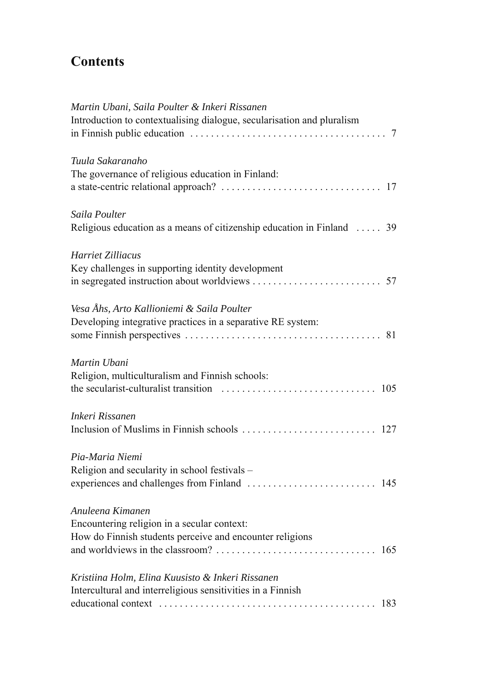## **Contents**

| Martin Ubani, Saila Poulter & Inkeri Rissanen<br>Introduction to contextualising dialogue, secularisation and pluralism |
|-------------------------------------------------------------------------------------------------------------------------|
| Tuula Sakaranaho                                                                                                        |
| The governance of religious education in Finland:                                                                       |
| Saila Poulter                                                                                                           |
| Religious education as a means of citizenship education in Finland  39                                                  |
| Harriet Zilliacus                                                                                                       |
| Key challenges in supporting identity development                                                                       |
|                                                                                                                         |
| Vesa Åhs, Arto Kallioniemi & Saila Poulter                                                                              |
| Developing integrative practices in a separative RE system:                                                             |
|                                                                                                                         |
| Martin Ubani                                                                                                            |
| Religion, multiculturalism and Finnish schools:                                                                         |
|                                                                                                                         |
| Inkeri Rissanen                                                                                                         |
|                                                                                                                         |
| Pia-Maria Niemi                                                                                                         |
| Religion and secularity in school festivals -                                                                           |
|                                                                                                                         |
| Anuleena Kimanen                                                                                                        |
| Encountering religion in a secular context:                                                                             |
| How do Finnish students perceive and encounter religions                                                                |
|                                                                                                                         |
| Kristiina Holm, Elina Kuusisto & Inkeri Rissanen                                                                        |
| Intercultural and interreligious sensitivities in a Finnish                                                             |
|                                                                                                                         |